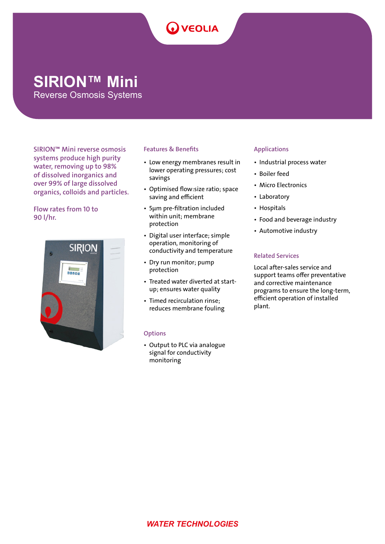# **Q** VEOLIA

## **SIRION™ Mini**

Reverse Osmosis Systems

SIRION™ Mini reverse osmosis systems produce high purity water, removing up to 98% of dissolved inorganics and over 99% of large dissolved organics, colloids and particles.

#### Flow rates from 10 to 90 l/hr.



#### Features & Benefits

- Low energy membranes result in lower operating pressures; cost savings
- Optimised flow:size ratio; space saving and efficient
- 5μm pre-filtration included within unit; membrane protection
- Digital user interface; simple operation, monitoring of conductivity and temperature
- Dry run monitor; pump protection
- Treated water diverted at startup; ensures water quality
- Timed recirculation rinse; reduces membrane fouling

#### **Options**

• Output to PLC via analogue signal for conductivity monitoring

#### Applications

- Industrial process water
- Boiler feed
- Micro Electronics
- Laboratory
- Hospitals
- Food and beverage industry
- Automotive industry

#### Related Services

Local after-sales service and support teams offer preventative and corrective maintenance programs to ensure the long-term, efficient operation of installed plant.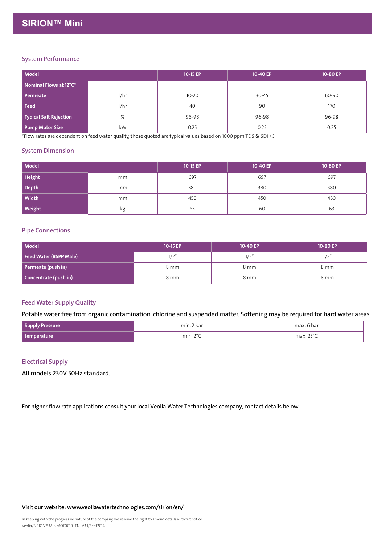| Model                  |      | 10-15 EP  | 10-40 EP  | 10-80 EP |
|------------------------|------|-----------|-----------|----------|
| Nominal Flows at 12°C* |      |           |           |          |
| Permeate               | l/hr | $10 - 20$ | $30 - 45$ | 60-90    |
| Feed                   | l/hr | 40        | 90        | 170      |
| Typical Salt Rejection | %    | 96-98     | 96-98     | 96-98    |
| Pump Motor Size        | kW   | 0.25      | 0.25      | 0.25     |

\*Flow rates are dependent on feed water quality, those quoted are typical values based on 1000 ppm TDS & SDI <3.

#### System Dimension

| Model         |    | 10-15 EP | 10-40 EP | 10-80 EP |
|---------------|----|----------|----------|----------|
| Height        | mm | 697      | 697      | 697      |
| Depth         | mm | 380      | 380      | 380      |
| <b>Width</b>  | mm | 450      | 450      | 450      |
| <b>Weight</b> | кg | 53       | 60       | 63       |

#### Pipe Connections

| Model                  | 10-15 EP | 10-40 EP | 10-80 EP |
|------------------------|----------|----------|----------|
| Feed Water (BSPP Male) | 1/2"     | 1/2"     | 1/2"     |
| Permeate (push in)     | 8 mm     | 8 mm     | 8 mm     |
| Concentrate (push in)  | 8 mm     | 8 mm     | 8 mm     |

#### Feed Water Supply Quality

Potable water free from organic contamination, chlorine and suspended matter. Softening may be required for hard water areas.

| Supply<br>$\sim$ ressure $\sim$ | min.<br>. 2 bai                                                   | . h-                    |
|---------------------------------|-------------------------------------------------------------------|-------------------------|
| temperature                     | $\sim$<br>min.<br>the contract of the contract of the contract of | $\neg P^{\circ}$<br>nov |

#### Electrical Supply

All models 230V 50Hz standard.

For higher flow rate applications consult your local Veolia Water Technologies company, contact details below.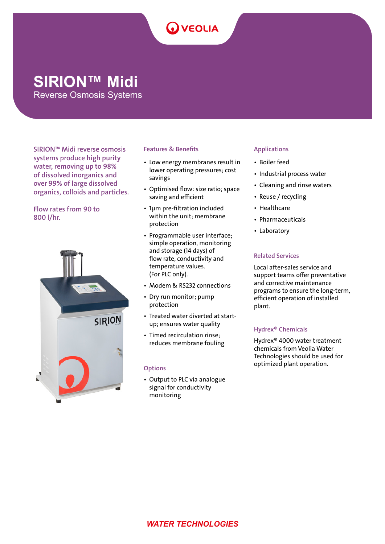# **OVEOLIA**

## **SIRION™ Midi**

Reverse Osmosis Systems

SIRION™ Midi reverse osmosis systems produce high purity water, removing up to 98% of dissolved inorganics and over 99% of large dissolved organics, colloids and particles.

Flow rates from 90 to 800 l/hr.



#### Features & Benefits

- Low energy membranes result in lower operating pressures; cost savings
- Optimised flow: size ratio; space saving and efficient
- 1μm pre-filtration included within the unit; membrane protection
- Programmable user interface; simple operation, monitoring and storage (14 days) of flow rate, conductivity and temperature values. (For PLC only).
- Modem & RS232 connections
- Dry run monitor; pump protection
- Treated water diverted at startup; ensures water quality
- Timed recirculation rinse; reduces membrane fouling

#### **Options**

• Output to PLC via analogue signal for conductivity monitoring

#### Applications

- Boiler feed
- Industrial process water
- Cleaning and rinse waters
- Reuse / recycling
- Healthcare
- Pharmaceuticals
- Laboratory

#### Related Services

Local after-sales service and support teams offer preventative and corrective maintenance programs to ensure the long-term, efficient operation of installed plant.

#### Hydrex® Chemicals

Hydrex® 4000 water treatment chemicals from Veolia Water Technologies should be used for optimized plant operation.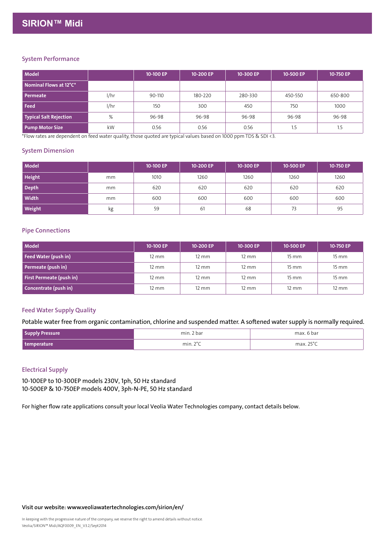| Model                  |      | 10-100 EP | 10-200 EP | 10-300 EP | 10-500 EP | 10-750 EP |
|------------------------|------|-----------|-----------|-----------|-----------|-----------|
| Nominal Flows at 12°C* |      |           |           |           |           |           |
| Permeate               | l/hr | 90-110    | 180-220   | 280-330   | 450-550   | 650-800   |
| l Feed                 | l/hr | 150       | 300       | 450       | 750       | 1000      |
| Typical Salt Rejection | %    | 96-98     | 96-98     | 96-98     | 96-98     | 96-98     |
| <b>Pump Motor Size</b> | kW   | 0.56      | 0.56      | 0.56      | 1.5       | 1.5       |

\*Flow rates are dependent on feed water quality, those quoted are typical values based on 1000 ppm TDS & SDI <3.

#### System Dimension

| <b>Model</b>  |    | 10-100 EP | 10-200 EP | 10-300 EP | 10-500 EP | 10-750 EP |
|---------------|----|-----------|-----------|-----------|-----------|-----------|
| <b>Height</b> | mm | 1010      | 1260      | 1260      | 1260      | 1260      |
| Depth         | mm | 620       | 620       | 620       | 620       | 620       |
| <b>Width</b>  | mm | 600       | 600       | 600       | 600       | 600       |
| <b>Weight</b> | kg | 59        | 61        | 68        | 73        | 95        |

#### Pipe Connections

| Model                    | 10-100 EP       | 10-200 EP       | 10-300 EP       | 10-500 EP           | 10-750 EP           |
|--------------------------|-----------------|-----------------|-----------------|---------------------|---------------------|
| Feed Water (push in)     | $12 \text{ mm}$ | $12 \text{ mm}$ | $12 \text{ mm}$ | $15 \, \mathrm{mm}$ | $15 \, \mathrm{mm}$ |
| Permeate (push in)       | $12 \text{ mm}$ | 12 mm           | $12 \text{ mm}$ | $15 \text{ mm}$     | $15 \, \mathrm{mm}$ |
| First Permeate (push in) | $12 \text{ mm}$ | 12 mm           | $12 \text{ mm}$ | $15 \, \mathrm{mm}$ | $15 \, \mathrm{mm}$ |
| Concentrate (push in)    | $12 \text{ mm}$ | 12 mm           | $12 \text{ mm}$ | $12 \text{ mm}$     | $12 \text{ mm}$     |

#### Feed Water Supply Quality

#### Potable water free from organic contamination, chlorine and suspended matter. A softened water supply is normally required.

| <b>Supply Pressure</b> | min. 2 bar         | max. 6 bar      |
|------------------------|--------------------|-----------------|
| temperature            | min. $2^{\circ}$ C | max. 25° $\cap$ |

#### Electrical Supply

10-100EP to 10-300EP models 230V, 1ph, 50 Hz standard 10-500EP & 10-750EP models 400V, 3ph-N-PE, 50 Hz standard

For higher flow rate applications consult your local Veolia Water Technologies company, contact details below.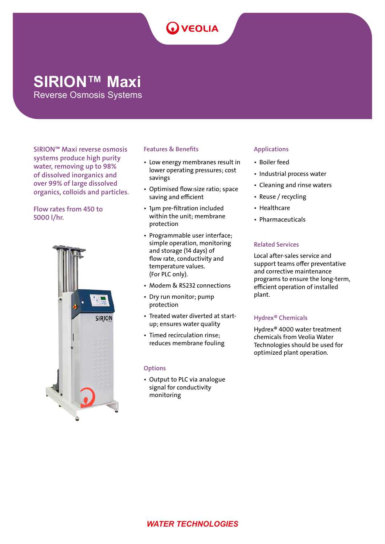## **Q** VEOLIA

### **SIRION™ Maxi**

Reverse Osmosis Systems

SIRION™ Maxi reverse osmosis systems produce high purity water, removing up to 98% of dissolved inorganics and over 99% of large dissolved organics, colloids and particles.

Flow rates from 450 to 5000 l/hr.



#### Features & Benefits

- Low energy membranes result in lower operating pressures; cost savings
- Optimised flow:size ratio; space saving and efficient
- 1μm pre-filtration included within the unit; membrane protection
- Programmable user interface; simple operation, monitoring and storage (14 days) of flow rate, conductivity and temperature values. (For PLC only).
- Modem & RS232 connections
- Dry run monitor; pump protection
- Treated water diverted at startup; ensures water quality
- Timed recirculation rinse; reduces membrane fouling

#### **Options**

• Output to PLC via analogue signal for conductivity monitoring

#### Applications

- Boiler feed
- Industrial process water
- Cleaning and rinse waters
- Reuse / recycling
- Healthcare
- Pharmaceuticals

#### Related Services

Local after-sales service and support teams offer preventative and corrective maintenance programs to ensure the long-term, efficient operation of installed plant.

#### Hydrex® Chemicals

Hydrex® 4000 water treatment chemicals from Veolia Water Technologies should be used for optimized plant operation.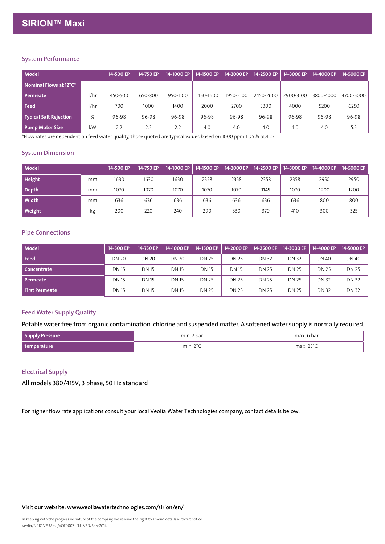| Model                                |      | 14-500 EP | 14-750 EP | 14-1000 EP | 14-1500 EP | 14-2000 EP | 14-2500 EP | 14-3000 EP | 14-4000 EP | 14-5000 EP |
|--------------------------------------|------|-----------|-----------|------------|------------|------------|------------|------------|------------|------------|
| $\,$ Nominal Flows at 12°C $^*$ $\,$ |      |           |           |            |            |            |            |            |            |            |
| Permeate                             | l/hr | 450-500   | 650-800   | 950-1100   | 1450-1600  | 1950-2100  | 2450-2600  | 2900-3100  | 3800-4000  | 4700-5000  |
| l Feed                               | l/hr | 700       | 1000      | 1400       | 2000       | 2700       | 3300       | 4000       | 5200       | 6250       |
| Typical Salt Rejection               | %    | 96-98     | 96-98     | 96-98      | 96-98      | 96-98      | 96-98      | 96-98      | 96-98      | 96-98      |
| <b>Pump Motor Size</b>               | kW   | 2.2       | 2.2       | 2.2        | 4.0        | 4.0        | 4.0        | 4.0        | 4.0        | 5.5        |

\*Flow rates are dependent on feed water quality, those quoted are typical values based on 1000 ppm TDS & SDI <3.

#### System Dimension

| <b>Model</b>  |    | 14-500 EP | 14-750 EP | 14-1000 EP   14-1500 EP |      |      | $14 - 2000$ EP $\vert$ 14-2500 EP $\vert$ | 14-3000 EP | 14-4000 EP   14-5000 EP |      |
|---------------|----|-----------|-----------|-------------------------|------|------|-------------------------------------------|------------|-------------------------|------|
| <b>Height</b> | mm | 1630      | 1630      | 1630                    | 2358 | 2358 | 2358                                      | 2358       | 2950                    | 2950 |
| Depth         | mm | 1070      | 1070      | 1070                    | 1070 | 1070 | 1145                                      | 1070       | 1200                    | 1200 |
| Width         | mm | 636       | 636       | 636                     | 636  | 636  | 636                                       | 636        | 800                     | 800  |
| <b>Weight</b> | kg | 200       | 220       | 240                     | 290  | 330  | 37C                                       | 410        | 300                     | 325  |

#### Pipe Connections

| <b>Model</b>          | 14-500 EP    | 14-750 EP    | 14-1000 EP   | 14-1500 EP   | 14-2000 EP   | 14-2500 EP   | 14-3000 EP   | 14-4000 EP   | 14-5000 EP   |
|-----------------------|--------------|--------------|--------------|--------------|--------------|--------------|--------------|--------------|--------------|
| Feed                  | <b>DN 20</b> | <b>DN 20</b> | DN 20        | <b>DN 25</b> | <b>DN 25</b> | <b>DN 32</b> | <b>DN 32</b> | <b>DN 40</b> | DN 40        |
| Concentrate           | <b>DN 15</b> | <b>DN 15</b> | <b>DN 15</b> | <b>DN 15</b> | <b>DN 15</b> | <b>DN 25</b> | <b>DN 25</b> | <b>DN 25</b> | <b>DN 25</b> |
| <b>Permeate</b>       | <b>DN 15</b> | <b>DN 15</b> | <b>DN 15</b> | <b>DN 25</b> | <b>DN 25</b> | <b>DN 25</b> | <b>DN 25</b> | <b>DN 32</b> | <b>DN 32</b> |
| <b>First Permeate</b> | <b>DN 15</b> | <b>DN 15</b> | <b>DN 15</b> | <b>DN 25</b> | <b>DN 25</b> | <b>DN 25</b> | <b>DN 25</b> | <b>DN 32</b> | <b>DN 32</b> |

#### Feed Water Supply Quality

Potable water free from organic contamination, chlorine and suspended matter. A softened water supply is normally required.

| Supply Pressure | min. 2 bar         | max. 6 bar      |
|-----------------|--------------------|-----------------|
| temperature     | min. $2^{\circ}$ C | max. 25° $\sim$ |

#### Electrical Supply

All models 380/415V, 3 phase, 50 Hz standard

For higher flow rate applications consult your local Veolia Water Technologies company, contact details below.

Visit our website: www.veoliawatertechnologies.com/sirion/en/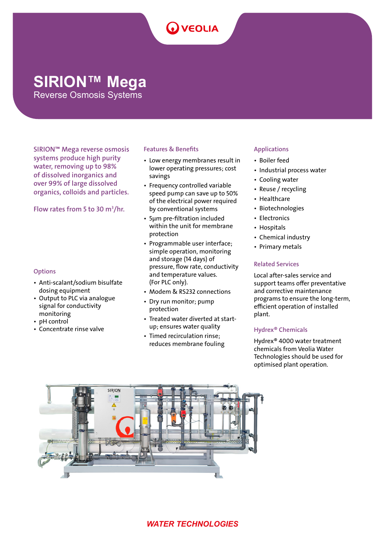## **OVEOLIA**

## **SIRION™ Mega**

Reverse Osmosis Systems

SIRION™ Mega reverse osmosis systems produce high purity water, removing up to 98% of dissolved inorganics and over 99% of large dissolved organics, colloids and particles.

Flow rates from 5 to 30  $m^3/hr$ .

#### **Options**

- Anti-scalant/sodium bisulfate dosing equipment
- Output to PLC via analogue signal for conductivity monitoring
- **pH** control
- Concentrate rinse valve

#### Features & Benefits

- Low energy membranes result in lower operating pressures; cost savings
- Frequency controlled variable speed pump can save up to 50% of the electrical power required by conventional systems
- 5μm pre-filtration included within the unit for membrane protection
- Programmable user interface; simple operation, monitoring and storage (14 days) of pressure, flow rate, conductivity and temperature values. (For PLC only).
- Modem & RS232 connections
- Dry run monitor; pump protection
- Treated water diverted at startup; ensures water quality
- Timed recirculation rinse; reduces membrane fouling

#### Applications

- Boiler feed
- Industrial process water
- Cooling water
- Reuse / recycling
- Healthcare
- Biotechnologies
- Electronics
- Hospitals
- Chemical industry
- Primary metals

#### Related Services

Local after-sales service and support teams offer preventative and corrective maintenance programs to ensure the long-term, efficient operation of installed plant.

#### Hydrex® Chemicals

Hydrex® 4000 water treatment chemicals from Veolia Water Technologies should be used for optimised plant operation.



### *WATER TECHNOLOGIES*